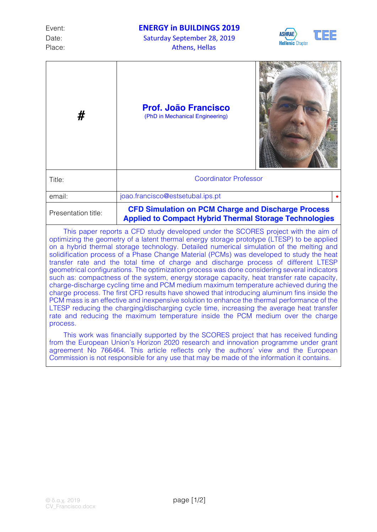Date: Saturday September 28, 2019 Place: Athens, Hellas



| #                   | <b>Prof. João Francisco</b><br>(PhD in Mechanical Engineering)                                                             |  |
|---------------------|----------------------------------------------------------------------------------------------------------------------------|--|
| Title:              | <b>Coordinator Professor</b>                                                                                               |  |
| email:              | joao.francisco@estsetubal.ips.pt                                                                                           |  |
| Presentation title: | <b>CFD Simulation on PCM Charge and Discharge Process</b><br><b>Applied to Compact Hybrid Thermal Storage Technologies</b> |  |

This paper reports a CFD study developed under the SCORES project with the aim of optimizing the geometry of a latent thermal energy storage prototype (LTESP) to be applied on a hybrid thermal storage technology. Detailed numerical simulation of the melting and solidification process of a Phase Change Material (PCMs) was developed to study the heat transfer rate and the total time of charge and discharge process of different LTESP geometrical configurations. The optimization process was done considering several indicators such as: compactness of the system, energy storage capacity, heat transfer rate capacity, charge-discharge cycling time and PCM medium maximum temperature achieved during the charge process. The first CFD results have showed that introducing aluminum fins inside the PCM mass is an effective and inexpensive solution to enhance the thermal performance of the LTESP reducing the charging/discharging cycle time, increasing the average heat transfer rate and reducing the maximum temperature inside the PCM medium over the charge process.

This work was financially supported by the SCORES project that has received funding from the European Union's Horizon 2020 research and innovation programme under grant agreement No 766464. This article reflects only the authors' view and the European Commission is not responsible for any use that may be made of the information it contains.